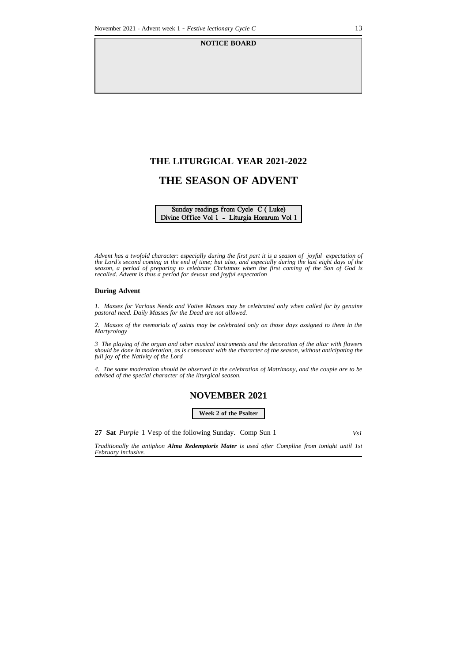#### **NOTICE BOARD**

# **THE LITURGICAL YEAR 2021-2022**

# **THE SEASON OF ADVENT**

#### Sunday readings from Cycle C (Luke) Divine Office Vol 1 - Liturgia Horarum Vol 1

Advent has a twofold character: especially during the first part it is a season of joyful expectation of the Lord's second coming at the end of time; but also, and especially during the last eight days of the *season, a period of preparing to celebrate Christmas when the first coming of the Son of God is recalled. Advent is thus a period for devout and joyful expectation*

#### **During Advent**

*1. Masses for Various Needs and Votive Masses may be celebrated only when called for by genuine pastoral need. Daily Masses for the Dead are not allowed.*

2. Masses of the memorials of saints may be celebrated only on those days assigned to them in the *Martyrology*

3 The playing of the organ and other musical instruments and the decoration of the altar with flowers *should be done in moderation, as is consonant with the character of the season, without anticipating the full joy of the Nativity of the Lord*

4. The same moderation should be observed in the celebration of Matrimony, and the couple are to be *advised of the special character of the liturgical season.*

## **NOVEMBER 2021**

**Week 2 of the Psalter**

**27 Sat** *Purple* 1 Vesp of the following Sunday. Comp Sun 1 *Vs1*

*Traditionally the antiphon Alma Redemptoris Mater is used after Compline from tonight until 1st February inclusive.*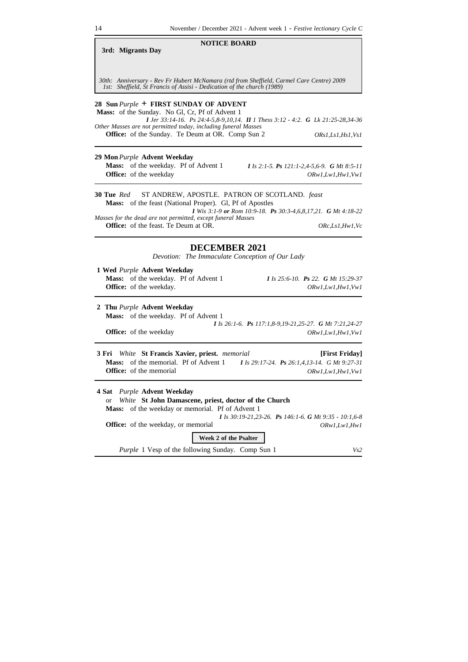#### **3rd: Migrants Day**

*30th: Anniversary - Rev Fr Hubert McNamara (rtd from Sheffield, Carmel Care Centre) 2009 1st: Sheffield, St Francis of Assisi - Dedication of the church (1989)*

**NOTICE BOARD**

### **28 Sun** *Purple* **+ FIRST SUNDAY OF ADVENT**

**Mass:** of the Sunday. No Gl, Cr, Pf of Advent 1 *I Jer 33:14-16. Ps 24:4-5,8-9,10,14. II 1 Thess 3:12 - 4:2. G Lk 21:25-28,34-36 Other Masses are not permitted today, including funeral Masses* **Office:** of the Sunday. Te Deum at OR. Comp Sun 2 *ORs1,Ls1,Hs1,Vs1*

**29 Mon***Purple* **Advent Weekday Mass:** of the weekday. Pf of Advent 1 *I Is 2:1-5. Ps 121:1-2,4-5,6-9. G Mt 8:5-11*

**Office:** of the weekday *ORw1,Lw1,Hw1,Vw1* 

#### **30 Tue** *Red* ST ANDREW, APOSTLE. PATRON OF SCOTLAND. *feast* **Mass:** of the feast (National Proper). Gl, Pf of Apostles

*I Wis 3:1-9 or Rom 10:9-18. Ps 30:3-4,6,8,17,21. G Mt 4:18-22 Masses for the dead are not permitted, except funeral Masses*

**Office:** of the feast. Te Deum at OR. *ORc,Ls1,Hw1,Vc*

#### **DECEMBER 2021**

*Devotion: The Immaculate Conception of Our Lady*

| 1 Wed Purple Advent Weekday                 |                                    |
|---------------------------------------------|------------------------------------|
| <b>Mass:</b> of the weekday. Pf of Advent 1 | I Is 25:6-10. Ps 22. G Mt 15:29-37 |
| <b>Office:</b> of the weekday.              | ORw1.Lw1.Hw1.Vw1                   |
|                                             |                                    |

**2 Thu** *Purple* **Advent Weekday Mass:** of the weekday. Pf of Advent 1 *I Is 26:1-6. Ps 117:1,8-9,19-21,25-27. G Mt 7:21,24-27* **Office:** of the weekday  $ORw1, Lw1, Hw1, Vw1$ 

**3 Fri** *White* **St Francis Xavier, priest.** *memorial* **[First Friday] Mass:** of the memorial. Pf of Advent 1 *I Is 29:17-24. Ps 26:1,4,13-14. G Mt 9:27-31* **Office:** of the memorial *ORw1,Lw1,Hw1,Vw1* 

*Purple* 1 Vesp of the following Sunday. Comp Sun 1 *Vs2* **4 Sat** *Purple* **Advent Weekday** or *White* **St John Damascene, priest, doctor of the Church Mass:** of the weekday or memorial. Pf of Advent 1 *I Is 30:19-21,23-26. Ps 146:1-6. G Mt 9:35 - 10:1,6-8* **Office:** of the weekday, or memorial *ORw1,Lw1,Hw1* **Week 2 of the Psalter**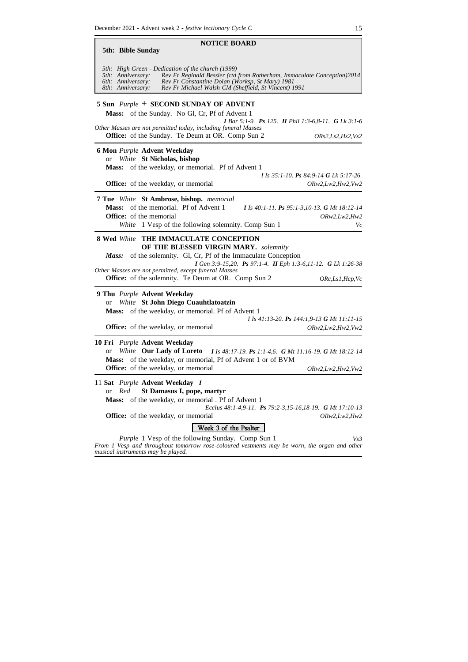**NOTICE BOARD 5th: Bible Sunday** *5th: High Green - Dedication of the church (1999) 5th: Anniversary: Rev Fr Reginald Bessler (rtd from Rotherham, Immaculate Conception)2014 6th: Anniversary: Rev Fr Constantine Dolan (Worksp, St Mary) 1981 8th: Anniversary: Rev Fr Michael Walsh CM (Sheffield, St Vincent) 1991* **5 Sun** *Purple* **+ SECOND SUNDAY OF ADVENT Mass:** of the Sunday. No Gl, Cr, Pf of Advent 1 *I Bar 5:1-9. Ps 125. II Phil 1:3-6,8-11. G Lk 3:1-6 Other Masses are not permitted today, including funeral Masses* **Office:** of the Sunday. Te Deum at OR. Comp Sun 2 *ORs2,Ls2,Hs2,Vs2* **6 Mon** *Purple* **Advent Weekday** or *White* **St Nicholas, bishop Mass:** of the weekday, or memorial. Pf of Advent 1 *I Is 35:1-10. Ps 84:9-14 G Lk 5:17-26* **Office:** of the weekday, or memorial *ORw2,Lw2,Hw2,Vw2* **7 Tue** *White* **St Ambrose, bishop.** *memorial* **Mass:** of the memorial. Pf of Advent 1 *I Is 40:1-11. Ps 95:1-3,10-13. G Mt 18:12-14* **Office:** of the memorial *ORw2,Lw2,Hw2 White* 1 Vesp of the following solemnity. Comp Sun 1 *Vc* **8 Wed** *White* **THE IMMACULATE CONCEPTION OF THE BLESSED VIRGIN MARY.** *solemnity Mass:* of the solemnity. Gl, Cr, Pf of the Immaculate Conception *I Gen 3:9-15,20. Ps 97:1-4. II Eph 1:3-6,11-12. G Lk 1:26-38 Other Masses are not permitted, except funeral Masses* **Office:** of the solemnity. Te Deum at OR. Comp Sun 2 *ORc,Ls1,Hcp,Vc***9 Thu** *Purple* **Advent Weekday** or *White* **St John Diego Cuauhtlatoatzin Mass:** of the weekday, or memorial. Pf of Advent 1 *I Is 41:13-20. Ps 144:1,9-13 G Mt 11:11-15* **Office:** of the weekday, or memorial *ORw2,Lw2,Hw2,Vw2* **10 Fri** *Purple* **Advent Weekday** or *White* **Our Lady of Loreto** *I Is 48:17-19. Ps 1:1-4,6. G Mt 11:16-19. G Mt 18:12-14* **Mass:** of the weekday, or memorial, Pf of Advent 1 or of BVM **Office:** of the weekday, or memorial *ORw2,Lw2,Hw2,Vw2* 11 **Sat** *Purple* **Advent Weekday** *I* or *Red* **St Damasus I, pope, martyr Mass:** of the weekday, or memorial . Pf of Advent 1 *Ecclus 48:1-4,9-11. Ps 79:2-3,15-16,18-19. G Mt 17:10-13* **Office:** of the weekday, or memorial *ORw2,Lw2,Hw2* Week 3 of the Psalter *Purple* 1 Vesp of the following Sunday. Comp Sun 1 *Vs3 From 1 Vesp and throughout tomorrow rose-coloured vestments may be worn, the organ and other musical instruments may be played.*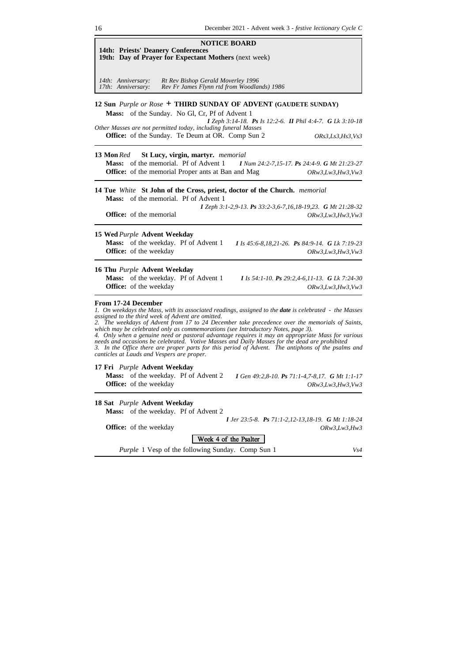| <b>NOTICE BOARD</b><br><b>14th: Priests' Deanery Conferences</b><br>19th: Day of Prayer for Expectant Mothers (next week)                                                                                                                                                                                                                                                                                                                                                                                                                                                                                                                                                                                                                 |
|-------------------------------------------------------------------------------------------------------------------------------------------------------------------------------------------------------------------------------------------------------------------------------------------------------------------------------------------------------------------------------------------------------------------------------------------------------------------------------------------------------------------------------------------------------------------------------------------------------------------------------------------------------------------------------------------------------------------------------------------|
| 14th: Anniversary:<br>Rt Rev Bishop Gerald Moverley 1996<br>Rev Fr James Flynn rtd from Woodlands) 1986<br>17th: Anniversary:                                                                                                                                                                                                                                                                                                                                                                                                                                                                                                                                                                                                             |
| 12 Sun Purple or Rose + THIRD SUNDAY OF ADVENT (GAUDETE SUNDAY)<br>Mass: of the Sunday. No Gl, Cr, Pf of Advent 1<br><b>I</b> Zeph 3:14-18. <b>Ps</b> Is 12:2-6. <b>II</b> Phil 4:4-7. <b>G</b> Lk 3:10-18<br>Other Masses are not permitted today, including funeral Masses<br><b>Office:</b> of the Sunday. Te Deum at OR. Comp Sun 2<br><i>ORs3,Ls3,Hs3,Vs3</i>                                                                                                                                                                                                                                                                                                                                                                        |
| 13 Mon Red<br><b>St Lucy, virgin, martyr.</b> memorial<br>Mass: of the memorial. Pf of Advent 1<br>I Num 24:2-7,15-17. Ps 24:4-9. G Mt 21:23-27<br><b>Office:</b> of the memorial Proper ants at Ban and Mag<br>ORw3, Lw3, Hw3, Vw3                                                                                                                                                                                                                                                                                                                                                                                                                                                                                                       |
| 14 Tue White St John of the Cross, priest, doctor of the Church. memorial<br>Mass: of the memorial. Pf of Advent 1<br>I Zeph 3:1-2,9-13. Ps 33:2-3,6-7,16,18-19,23. G Mt 21:28-32<br><b>Office:</b> of the memorial<br>ORw3, Lw3, Hw3, Vw3                                                                                                                                                                                                                                                                                                                                                                                                                                                                                                |
| 15 Wed Purple Advent Weekday<br>Mass: of the weekday. Pf of Advent 1<br>I Is $45:6-8,18,21-26$ . Ps $84:9-14$ . G Lk 7:19-23<br><b>Office:</b> of the weekday<br>ORw3, Lw3, Hw3, Vw3                                                                                                                                                                                                                                                                                                                                                                                                                                                                                                                                                      |
| 16 Thu Purple Advent Weekday<br>Mass: of the weekday. Pf of Advent 1<br>I Is 54:1-10. Ps 29:2,4-6,11-13. G Lk 7:24-30<br>Office: of the weekday<br>ORw3, Lw3, Hw3, Vw3                                                                                                                                                                                                                                                                                                                                                                                                                                                                                                                                                                    |
| From 17-24 December<br>1. On weekdays the Mass, with its associated readings, assigned to the <b>date</b> is celebrated - the Masses<br>assigned to the third week of Advent are omitted.<br>2. The weekdays of Advent from 17 to 24 December take precedence over the memorials of Saints,<br>which may be celebrated only as commemorations (see Introductory Notes, page 3).<br>4. Only when a genuine need or pastoral advantage requires it may an appropriate Mass for various<br>needs and occasions be celebrated. Votive Masses and Daily Masses for the dead are prohibited<br>3. In the Office there are proper parts for this period of Advent. The antiphons of the psalms and<br>canticles at Lauds and Vespers are proper. |
| 17 Fri <i>Purple</i> Advent Weekday<br><b>Mass:</b> of the weekday. Pf of Advent 2<br>I Gen $49:2,8-10$ . Ps $71:1-4,7-8,17$ . G Mt $1:1-17$<br><b>Office:</b> of the weekday<br>ORw3, Lw3, Hw3, Vw3                                                                                                                                                                                                                                                                                                                                                                                                                                                                                                                                      |
| 18 Sat Purple Advent Weekday<br>Mass: of the weekday. Pf of Advent 2<br><b>I</b> Jer 23:5-8. <b>Ps</b> 71:1-2,12-13,18-19. <b>G</b> Mt 1:18-24<br><b>Office:</b> of the weekday<br>ORw3,Lw3,Hw3<br>Week 4 of the Psalter                                                                                                                                                                                                                                                                                                                                                                                                                                                                                                                  |
| <i>Purple</i> 1 Vesp of the following Sunday. Comp Sun 1<br>Vs4                                                                                                                                                                                                                                                                                                                                                                                                                                                                                                                                                                                                                                                                           |
|                                                                                                                                                                                                                                                                                                                                                                                                                                                                                                                                                                                                                                                                                                                                           |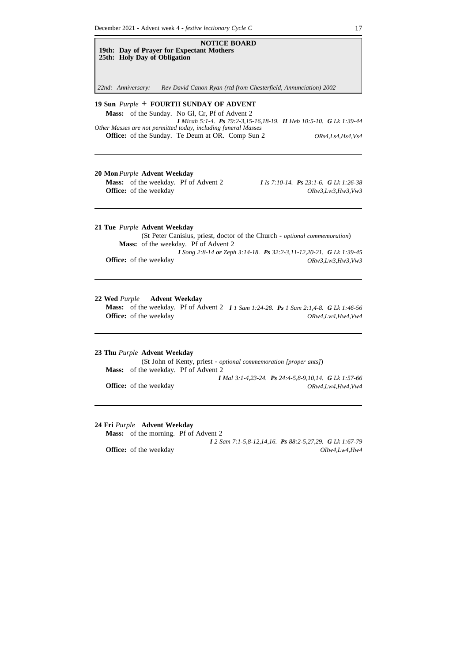

**20 Mon***Purple* **Advent Weekday Mass:** of the weekday. Pf of Advent 2 *I Is 7:10-14. Ps 23:1-6. G Lk 1:26-38*

**Office:** of the weekday *ORw3,Lw3,Hw3,Vw3* 

**21 Tue** *Purple* **Advent Weekday**

(St Peter Canisius, priest, doctor of the Church - *optional commemoration*) **Mass:** of the weekday. Pf of Advent 2 *I Song 2:8-14 or Zeph 3:14-18. Ps 32:2-3,11-12,20-21. G Lk 1:39-45* **Office:** of the weekday *ORw3,Lw3,Hw3,Vw3* 

#### **22 Wed** *Purple* **Advent Weekday**

**Mass:** of the weekday. Pf of Advent 2 *I 1 Sam 1:24-28. Ps 1 Sam 2:1,4-8. G Lk 1:46-56* **Office:** of the weekday  $ORw4, Lw4, Hw4, Vw4$ 

#### **23 Thu** *Purple* **Advent Weekday**

(St John of Kenty, priest - *optional commemoration [proper ants]*) **Mass:** of the weekday. Pf of Advent 2 *I Mal 3:1-4,23-24. Ps 24:4-5,8-9,10,14. G Lk 1:57-66* **Office:** of the weekday *ORw4,Lw4,Hw4,Vw4*

#### **24 Fri** *Purple* **Advent Weekday**

**Mass:** of the morning. Pf of Advent 2 *I 2 Sam 7:1-5,8-12,14,16. Ps 88:2-5,27,29. G Lk 1:67-79* **Office:** of the weekday *ORw4,Lw4,Hw4*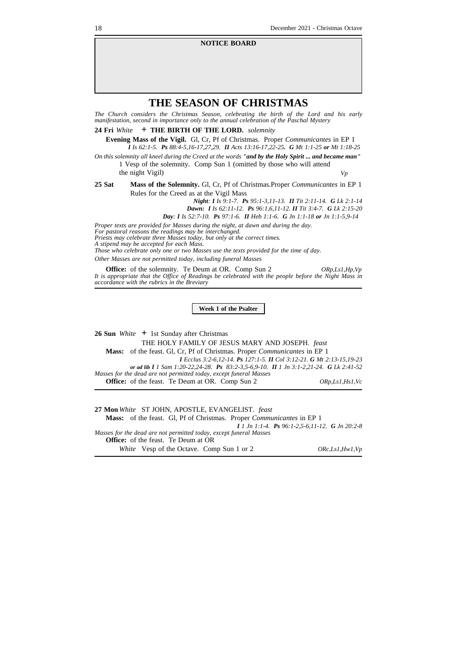#### **NOTICE BOARD**

## **THE SEASON OF CHRISTMAS**

*The Church considers the Christmas Season, celebrating the birth of the Lord and his early manifestation, second in importance only to the annual celebration of the Paschal Mystery*

**24 Fri** *White* **+ THE BIRTH OF THE LORD.** *solemnity*

**Evening Mass of the Vigil.** Gl, Cr, Pf of Christmas. Proper *Communicantes* in EP 1 *I Is 62:1-5. Ps 88:4-5,16-17,27,29. II Acts 13:16-17,22-25. G Mt 1:1-25 or Mt 1:18-25*

On this solemnity all kneel during the Creed at the words "and by the Holy Spirit ... and became man" 1 Vesp of the solemnity. Comp Sun 1 (omitted by those who will attend

the night Vigil) *Vp*

**25 Sat Mass of the Solemnity.** Gl, Cr, Pf of Christmas.Proper *Communicantes* in EP 1 Rules for the Creed as at the Vigil Mass

*Night: I Is 9:1-7. Ps 95:1-3,11-13. II Tit 2:11-14. G Lk 2:1-14*

*Dawn: I Is 62:11-12. Ps 96:1,6,11-12. II Tit 3:4-7. G Lk 2:15-20 Day: I Is 52:7-10. Ps 97:1-6. II Heb 1:1-6. G Jn 1:1-18 or Jn 1:1-5,9-14*

*Proper texts are provided for Masses during the night, at dawn and during the day.*

*For pastoral reasons the readings may be interchanged. Priests may celebrate three Masses today, but only at the correct times. A stipend may be accepted for each Mass. Those who celebrate only one or two Masses use the texts provided for the time of day.*

*Other Masses are not permitted today, including funeral Masses*

**Office:** of the solemnity. Te Deum at OR. Comp Sun 2 *ORp,Ls1,Hp,Vp* It is appropriate that the Office of Readings be celebrated with the people before the Night Mass in *accordance with the rubrics in the Breviary*

**Week 1 of the Psalter**

**26 Sun** *White* **+** 1st Sunday after Christmas THE HOLY FAMILY OF JESUS MARY AND JOSEPH. *feast* **Mass:** of the feast. Gl, Cr, Pf of Christmas. Proper *Communicantes* in EP 1 *I Ecclus 3:2-6,12-14. Ps 127:1-5. II Col 3:12-21. G Mt 2:13-15,19-23 or ad lib I 1 Sam 1:20-22,24-28. Ps 83:2-3,5-6,9-10. II 1 Jn 3:1-2,21-24. G Lk 2:41-52 Masses for the dead are not permitted today, except funeral Masses* **Office:** of the feast. Te Deum at OR. Comp Sun 2 *ORp,Ls1,Hs1,Vc*

**27 Mon** *White* ST JOHN, APOSTLE, EVANGELIST. *feast* **Mass:** of the feast. Gl, Pf of Christmas. Proper *Communicantes* in EP 1 *I 1 Jn 1:1-4. Ps 96:1-2,5-6,11-12. G Jn 20:2-8 Masses for the dead are not permitted today, except funeral Masses* **Office:** of the feast. Te Deum at OR *White* Vesp of the Octave. Comp Sun 1 or 2 *ORc,Ls1,Hw1,Vp*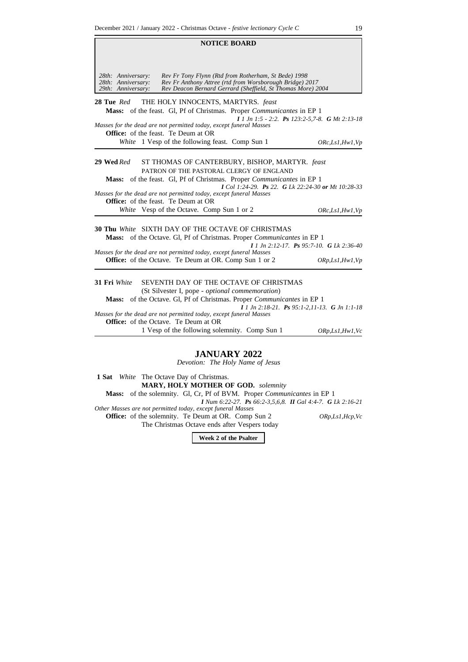Ē

|                                                                | NUTIUE DUAKD                                                                                                                                                                                                                                                                                                                                                |                                                                     |
|----------------------------------------------------------------|-------------------------------------------------------------------------------------------------------------------------------------------------------------------------------------------------------------------------------------------------------------------------------------------------------------------------------------------------------------|---------------------------------------------------------------------|
| 28th: Anniversary:<br>28th: Anniversary:<br>29th: Anniversary: | Rev Fr Tony Flynn (Rtd from Rotherham, St Bede) 1998<br>Rev Fr Anthony Attree (rtd from Worsborough Bridge) 2017<br>Rev Deacon Bernard Gerrard (Sheffield, St Thomas More) 2004                                                                                                                                                                             |                                                                     |
| 28 Tue Red                                                     | THE HOLY INNOCENTS, MARTYRS. feast<br>Mass: of the feast. Gl, Pf of Christmas. Proper Communicantes in EP 1<br>Masses for the dead are not permitted today, except funeral Masses<br><b>Office:</b> of the feast. Te Deum at OR<br>White 1 Vesp of the following feast. Comp Sun 1                                                                          | I 1 Jn 1:5 - 2:2. Ps 123:2-5,7-8. G Mt 2:13-18<br>ORc, Ls1, Hw1, Vp |
| 29 Wed Red                                                     | ST THOMAS OF CANTERBURY, BISHOP, MARTYR. feast<br>PATRON OF THE PASTORAL CLERGY OF ENGLAND<br><b>Mass:</b> of the feast. Gl, Pf of Christmas. Proper <i>Communicantes</i> in EP 1<br>I Col 1:24-29. Ps 22. G Lk 22:24-30 or Mt 10:28-33<br>Masses for the dead are not permitted today, except funeral Masses<br><b>Office:</b> of the feast. Te Deum at OR |                                                                     |
|                                                                | White Vesp of the Octave. Comp Sun 1 or 2                                                                                                                                                                                                                                                                                                                   | ORc, Ls1, Hw1, Vp                                                   |
|                                                                | <b>30 Thu White SIXTH DAY OF THE OCTAVE OF CHRISTMAS</b><br><b>Mass:</b> of the Octave. Gl, Pf of Christmas. Proper <i>Communicantes</i> in EP 1<br>Masses for the dead are not permitted today, except funeral Masses<br><b>Office:</b> of the Octave. Te Deum at OR. Comp Sun 1 or 2                                                                      | $I$ 1 Jn 2:12-17. Ps 95:7-10. G Lk 2:36-40<br>ORp, Ls1, Hw1, Vp     |
| 31 Fri White                                                   | SEVENTH DAY OF THE OCTAVE OF CHRISTMAS<br>(St Silvester I, pope - optional commemoration)<br><b>Mass:</b> of the Octave. Gl, Pf of Christmas. Proper <i>Communicantes</i> in EP 1<br>Masses for the dead are not permitted today, except funeral Masses<br><b>Office:</b> of the Octave. Te Deum at OR                                                      | $I$ 1 Jn 2:18-21. Ps 95:1-2,11-13. G Jn 1:1-18                      |

**NOTICE BOARD**

1 Vesp of the following solemnity. Comp Sun 1 *ORp,Ls1,Hw1,Vc*

### **JANUARY 2022**

*Devotion: The Holy Name of Jesus*

**1 Sat** *White* The Octave Day of Christmas. **MARY, HOLY MOTHER OF GOD.** *solemnity* **Mass:** of the solemnity. Gl, Cr, Pf of BVM. Proper *Communicantes* in EP 1 *I Num 6:22-27. Ps 66:2-3,5,6,8. II Gal 4:4-7. G Lk 2:16-21 Other Masses are not permitted today, except funeral Masses* **Office:** of the solemnity. Te Deum at OR. Comp Sun 2 *ORp,Ls1,Hcp,Vc* The Christmas Octave ends after Vespers today

**Week 2 of the Psalter**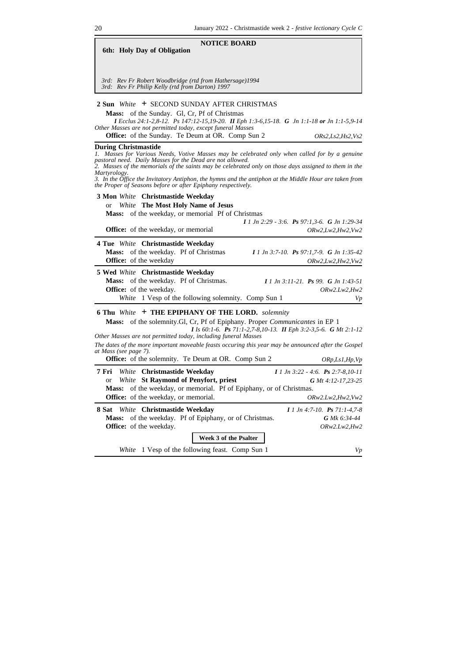| <b>NOTICE BOARD</b><br>6th: Holy Day of Obligation                                                                                                                                                                                                                                                                                                                                                                                                                                                  |                                                                              |
|-----------------------------------------------------------------------------------------------------------------------------------------------------------------------------------------------------------------------------------------------------------------------------------------------------------------------------------------------------------------------------------------------------------------------------------------------------------------------------------------------------|------------------------------------------------------------------------------|
| 3rd: Rev Fr Robert Woodbridge (rtd from Hathersage)1994<br>3rd: Rev Fr Philip Kelly (rtd from Darton) 1997                                                                                                                                                                                                                                                                                                                                                                                          |                                                                              |
| 2 Sun White + SECOND SUNDAY AFTER CHRISTMAS<br>Mass: of the Sunday. Gl, Cr, Pf of Christmas<br>I Ecclus 24:1-2,8-12. Ps 147:12-15,19-20. II Eph 1:3-6,15-18. G Jn 1:1-18 or Jn 1:1-5,9-14<br>Other Masses are not permitted today, except funeral Masses<br>Office: of the Sunday. Te Deum at OR. Comp Sun 2                                                                                                                                                                                        | ORS2, Ls2, Hs2, Vs2                                                          |
| <b>During Christmastide</b><br>Masses for Various Needs, Votive Masses may be celebrated only when called for by a genuine<br>pastoral need. Daily Masses for the Dead are not allowed.<br>$\hat{P}$ . Masses of the memorials of the saints may be celebrated only on those days assigned to them in the<br>Martyrology.<br>3. In the Office the Invitatory Antiphon, the hymns and the antiphon at the Middle Hour are taken from<br>the Proper of Seasons before or after Epiphany respectively. |                                                                              |
| 3 Mon White Christmastide Weekday<br><b>White</b> The Most Holy Name of Jesus<br>or<br>Mass: of the weekday, or memorial Pf of Christmas<br><b>Office:</b> of the weekday, or memorial                                                                                                                                                                                                                                                                                                              | $I$ 1 Jn 2:29 - 3:6. Ps 97:1,3-6. G Jn 1:29-34<br>ORw2, Lw2, Hw2, Vw2        |
| 4 Tue White Christmastide Weekday<br>Mass: of the weekday. Pf of Christmas<br>Office: of the weekday                                                                                                                                                                                                                                                                                                                                                                                                | I 1 Jn 3:7-10. Ps 97:1.7-9. G Jn 1:35-42<br>ORw2, Lw2, Hw2, Vw2              |
| 5 Wed White Christmastide Weekday<br>Mass: of the weekday. Pf of Christmas.<br><b>Office:</b> of the weekday.<br>White 1 Vesp of the following solemnity. Comp Sun 1                                                                                                                                                                                                                                                                                                                                | $I 1 Jn 3:11-21$ . Ps 99. G Jn 1:43-51<br>ORw2.Lw2,Hw2<br>Vp                 |
| <b>6 Thu White + THE EPIPHANY OF THE LORD.</b> solemnity<br><b>Mass:</b> of the solemnity. Gl, Cr, Pf of Epiphany. Proper <i>Communicantes</i> in EP 1<br>I Is 60:1-6. Ps 71:1-2,7-8,10-13. II Eph 3:2-3,5-6. G Mt 2:1-12<br>Other Masses are not permitted today, including funeral Masses<br>The dates of the more important moveable feasts occuring this year may be announced after the Gospel<br>at Mass (see page 7).<br><b>Office:</b> of the solemnity. Te Deum at OR. Comp Sun 2          | ORp, Ls1, Hp, Vp                                                             |
| White Christmastide Weekday<br>7 Fri<br>White St Raymond of Penyfort, priest<br><b>or</b><br>of the weekday, or memorial. Pf of Epiphany, or of Christmas.<br>Mass:<br>Office: of the weekday, or memorial.                                                                                                                                                                                                                                                                                         | $11$ Jn 3:22 - 4:6. Ps 2:7-8,10-11<br>G Mt 4:12-17,23-25<br>ORw2.Lw2,Hw2,Vw2 |
| White Christmastide Weekday<br>8 Sat<br>of the weekday. Pf of Epiphany, or of Christmas.<br>Mass:<br><b>Office:</b> of the weekday.                                                                                                                                                                                                                                                                                                                                                                 | $I$ 1 Jn 4:7-10. Ps 71:1-4.7-8<br>G Mk 6:34-44<br>ORw2.Lw2,Hw2               |
| Week 3 of the Psalter<br>1 Vesp of the following feast. Comp Sun 1<br>White                                                                                                                                                                                                                                                                                                                                                                                                                         | Vp                                                                           |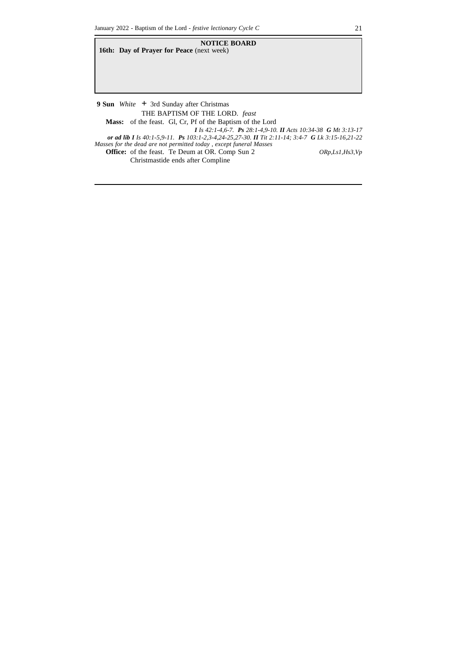**NOTICE BOARD 16th: Day of Prayer for Peace** (next week) **9 Sun** *White* **+** 3rd Sunday after Christmas THE BAPTISM OF THE LORD. *feast* **Mass:** of the feast. Gl, Cr, Pf of the Baptism of the Lord *I Is 42:1-4,6-7. Ps 28:1-4,9-10. II Acts 10:34-38 G Mt 3:13-17 or ad lib I Is 40:1-5,9-11. Ps 103:1-2,3-4,24-25,27-30. II Tit 2:11-14; 3:4-7 G Lk 3:15-16,21-22*

*Masses for the dead are not permitted today , except funeral Masses* **Office:** of the feast. Te Deum at OR. Comp Sun 2 *ORp,Ls1,Hs3,Vp*

Christmastide ends after Compline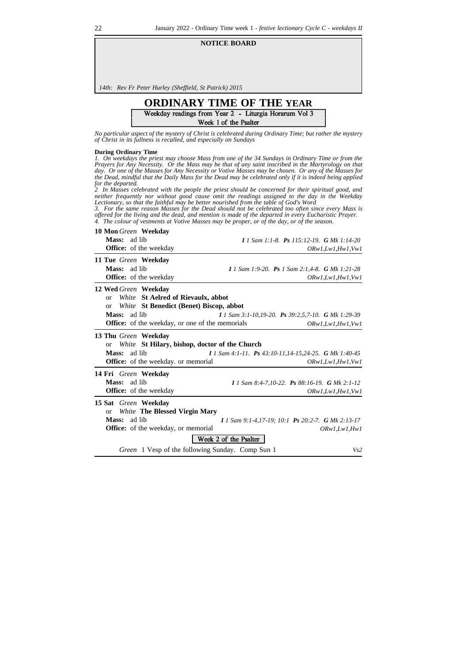#### **NOTICE BOARD**

*14th: Rev Fr Peter Hurley (Sheffield, St Patrick) 2015*

# **ORDINARY TIME OF THE YEAR** Week 1 of the Psalter

*No particular aspect of the mystery of Christ is celebrated during Ordinary Time; but rather the mystery of Christ in its fullness is recalled, and especially on Sundays*

#### **During Ordinary Time**

1. On weekdays the priest may choose Mass from one of the 34 Sundays in Ordinary Time or from the Prayers for Any Necessity. Or the Mass may be that of any saint inscribed in the Martyrology on that<br>day. Or one of the Masses for Any Necessity or Votive Masses may be chosen. Or any of the Masses for the Dead, mindful that the Daily Mass for the Dead may be celebrated only if it is indeed being applied *for the departed.*<br>2 *In Marchine* 

*2 In Masses celebrated with the people the priest should be concerned for their spiritual good, and neither frequently nor without good cause omit the readings assigned to the day in the Weekday Lectionary, so that the faithful may be better nourished from the table of God's Word*

3. For the same reason Masses for the Dead should not be celebrated too often since every Mass is offered for the living and the dead, and mention is made of the departed in every Eucharistic Prayer. *4. The colour of vestments at Votive Masses may be proper, or of the day, or of the season.*

| <b>10 Mon Green Weekday</b>                            |                                                       |
|--------------------------------------------------------|-------------------------------------------------------|
| Mass: ad lib                                           | 1 1 Sam 1:1-8. Ps 115:12-19. G Mk 1:14-20             |
| <b>Office:</b> of the weekday                          | ORw1, Lw1, Hw1, Vw1                                   |
| 11 Tue Green Weekday                                   |                                                       |
| <b>Mass:</b><br>ad lib                                 | I 1 Sam 1:9-20. Ps 1 Sam 2:1,4-8. G Mk 1:21-28        |
| Office: of the weekday                                 | ORw1, Lw1, Hw1, Vw1                                   |
| 12 Wed Green Weekday                                   |                                                       |
| White St Aelred of Rievaulx, abbot<br><b>or</b>        |                                                       |
| White St Benedict (Benet) Biscop, abbot<br>or          |                                                       |
| Mass:<br>ad lib                                        | I 1 Sam 3:1-10,19-20. Ps 39:2,5,7-10. G Mk 1:29-39    |
| <b>Office:</b> of the weekday, or one of the memorials | ORw1, Lw1, Hw1, Vw1                                   |
| 13 Thu Green Weekday                                   |                                                       |
| White St Hilary, bishop, doctor of the Church<br>or    |                                                       |
| ad lib<br><b>Mass:</b>                                 | I 1 Sam 4:1-11. Ps 43:10-11,14-15,24-25. G Mk 1:40-45 |
| <b>Office:</b> of the weekday. or memorial             | ORw1, Lw1, Hw1, Vw1                                   |
| 14 Fri Green Weekday                                   |                                                       |
| ad lib<br>Mass:                                        | I 1 Sam 8:4-7,10-22. Ps 88:16-19. G Mk 2:1-12         |
| <b>Office:</b> of the weekday                          | ORw1, Lw1, Hw1, Vw1                                   |
| 15 Sat Green Weekday                                   |                                                       |
| <b>White The Blessed Virgin Mary</b><br><b>or</b>      |                                                       |
| Mass:<br>ad lib                                        | I 1 Sam 9:1-4,17-19; 10:1 Ps 20:2-7. G Mk 2:13-17     |
| <b>Office:</b> of the weekday, or memorial             | ORw1, Lw1, Hw1                                        |
|                                                        | Week 2 of the Psalter                                 |
| Green 1 Vesp of the following Sunday. Comp Sun 1       | Vs2                                                   |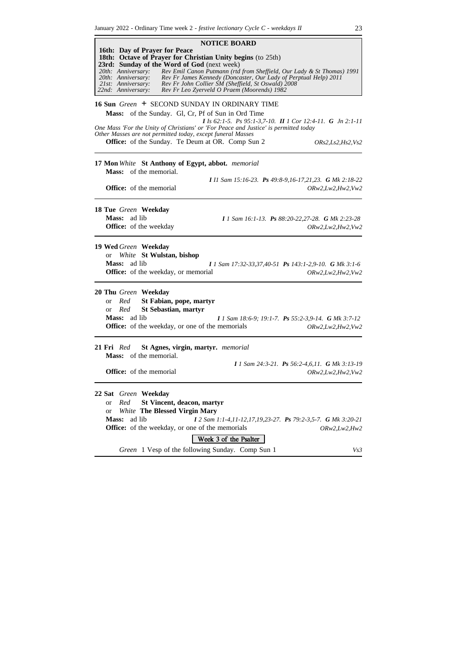| <b>NOTICE BOARD</b>                                                                                                                                                                                                                                                                                                                                                                                                                                                                    |
|----------------------------------------------------------------------------------------------------------------------------------------------------------------------------------------------------------------------------------------------------------------------------------------------------------------------------------------------------------------------------------------------------------------------------------------------------------------------------------------|
| 16th: Day of Prayer for Peace<br>18th: Octave of Prayer for Christian Unity begins (to 25th)<br>23rd: Sunday of the Word of God (next week)<br>Rev Emil Canon Putmann (rtd from Sheffield, Our Lady & St Thomas) 1991<br>20th: Anniversary:<br>Rev Fr James Kennedy (Doncaster, Our Lady of Perptual Help) 2011<br>20th: Anniversary:<br>Rev Fr John Collier SM (Sheffield, St Oswald) 2008<br>21st: Anniversary:<br>22nd: Anniversary:<br>Rev Fr Leo Zyerveld O Praem (Moorends) 1982 |
| 16 Sun Green + SECOND SUNDAY IN ORDINARY TIME<br>Mass: of the Sunday. Gl, Cr, Pf of Sun in Ord Time<br>I Is 62:1-5. Ps 95:1-3,7-10. II 1 Cor 12:4-11. G Jn 2:1-11                                                                                                                                                                                                                                                                                                                      |
| One Mass 'For the Unity of Christians' or 'For Peace and Justice' is permitted today<br>Other Masses are not permitted today, except funeral Masses<br><b>Office:</b> of the Sunday. Te Deum at OR. Comp Sun 2<br>ORS2, Ls2, Hs2, Vs2                                                                                                                                                                                                                                                  |
| 17 Mon White St Anthony of Egypt, abbot. memorial<br><b>Mass:</b> of the memorial.                                                                                                                                                                                                                                                                                                                                                                                                     |
| I II Sam 15:16-23. Ps 49:8-9,16-17,21,23. G Mk 2:18-22<br><b>Office:</b> of the memorial<br>ORw2, Lw2, Hw2, Vw2                                                                                                                                                                                                                                                                                                                                                                        |
| 18 Tue Green Weekday<br>Mass: ad lib<br><b>I</b> 1 Sam 16:1-13. <b>Ps</b> 88:20-22,27-28. <b>G</b> Mk 2:23-28<br><b>Office:</b> of the weekday<br>ORw2, Lw2, Hw2, Vw2                                                                                                                                                                                                                                                                                                                  |
| 19 Wed Green Weekday<br>White St Wulstan, bishop<br><sub>or</sub><br>Mass: ad lib<br>I 1 Sam 17:32-33,37,40-51 Ps 143:1-2,9-10. G Mk 3:1-6<br>Office: of the weekday, or memorial<br>ORw2, Lw2, Hw2, Vw2                                                                                                                                                                                                                                                                               |
| 20 Thu Green Weekday<br>Red<br>St Fabian, pope, martyr<br><b>or</b><br>Red<br><b>St Sebastian, martyr</b><br>$\alpha$<br>Mass: ad lib<br><b>I</b> 1 Sam 18:6-9; 19:1-7. <b>Ps</b> 55:2-3,9-14. <b>G</b> Mk 3:7-12<br><b>Office:</b> of the weekday, or one of the memorials<br>ORw2, Lw2, Hw2, Vw2                                                                                                                                                                                     |
| St Agnes, virgin, martyr. memorial<br>21 Fri Red<br>Mass: of the memorial.                                                                                                                                                                                                                                                                                                                                                                                                             |
| I 1 Sam 24:3-21. Ps 56:2-4,6,11. G Mk 3:13-19<br><b>Office:</b> of the memorial<br>ORw2, Lw2, Hw2, Vw2                                                                                                                                                                                                                                                                                                                                                                                 |
| 22 Sat Green Weekday<br>St Vincent, deacon, martyr<br>Red<br><b>or</b><br><b>White The Blessed Virgin Mary</b><br>or<br>Mass:<br>ad lib<br>I 2 Sam 1:1-4,11-12,17,19,23-27. Ps 79:2-3,5-7. G Mk 3:20-21<br>Office: of the weekday, or one of the memorials<br>ORw2, Lw2, Hw2<br>Week 3 of the Psalter                                                                                                                                                                                  |
| Green 1 Vesp of the following Sunday. Comp Sun 1<br>Vs3                                                                                                                                                                                                                                                                                                                                                                                                                                |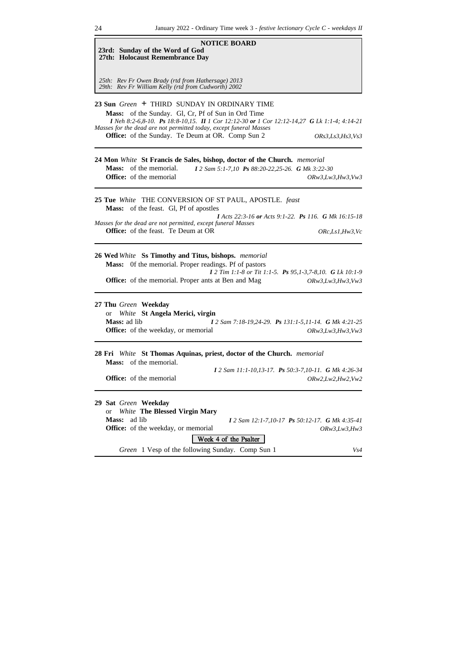| ~⊤<br>$\ldots$                                                                                                                                                                                                                                                                                                                                         |
|--------------------------------------------------------------------------------------------------------------------------------------------------------------------------------------------------------------------------------------------------------------------------------------------------------------------------------------------------------|
| <b>NOTICE BOARD</b><br>23rd: Sunday of the Word of God<br>27th: Holocaust Remembrance Day                                                                                                                                                                                                                                                              |
| 25th: Rev Fr Owen Brady (rtd from Hathersage) 2013<br>29th: Rev Fr William Kelly (rtd from Cudworth) 2002                                                                                                                                                                                                                                              |
| 23 Sun Green + THIRD SUNDAY IN ORDINARY TIME<br>Mass: of the Sunday. Gl, Cr, Pf of Sun in Ord Time<br>I Neh 8:2-6,8-10. Ps 18:8-10,15. II 1 Cor 12:12-30 or 1 Cor 12:12-14,27 G Lk 1:1-4; 4:14-21<br>Masses for the dead are not permitted today, except funeral Masses<br>Office: of the Sunday. Te Deum at OR. Comp Sun 2<br><i>ORs3,Ls3,Hs3,Vs3</i> |
| 24 Mon White St Francis de Sales, bishop, doctor of the Church. memorial<br><b>Mass:</b> of the memorial.<br>I 2 Sam 5:1-7,10 Ps 88:20-22,25-26. G Mk 3:22-30<br><b>Office:</b> of the memorial<br>ORw3, Lw3, Hw3, Vw3                                                                                                                                 |
| 25 Tue White THE CONVERSION OF ST PAUL, APOSTLE. feast<br>Mass: of the feast. Gl, Pf of apostles<br><b>I</b> Acts 22:3-16 or Acts 9:1-22. Ps 116. G Mk 16:15-18<br>Masses for the dead are not permitted, except funeral Masses<br><b>Office:</b> of the feast. Te Deum at OR<br>ORc, Ls1, Hw3, Vc                                                     |
| 26 Wed White Ss Timothy and Titus, bishops. memorial<br>Mass: Of the memorial. Proper readings. Pf of pastors<br>I 2 Tim 1:1-8 or Tit 1:1-5. Ps 95,1-3,7-8,10. G Lk 10:1-9<br><b>Office:</b> of the memorial. Proper ants at Ben and Mag<br>ORw3, Lw3, Hw3, Vw3                                                                                        |
| 27 Thu Green Weekday<br>White St Angela Merici, virgin<br><b>or</b><br>Mass: ad lib<br>I 2 Sam 7:18-19,24-29. Ps 131:1-5,11-14. G Mk 4:21-25<br><b>Office:</b> of the weekday, or memorial<br>ORw3, Lw3, Hw3, Vw3                                                                                                                                      |
| 28 Fri White St Thomas Aquinas, priest, doctor of the Church. memorial<br><b>Mass:</b> of the memorial.<br>I 2 Sam 11:1-10,13-17. Ps 50:3-7,10-11. G Mk 4:26-34<br><b>Office:</b> of the memorial<br>ORw2, Lw2, Hw2, Vw2                                                                                                                               |
| 29 Sat Green Weekday<br><b>White The Blessed Virgin Mary</b><br><b>or</b><br>Mass:<br>ad lib<br>I 2 Sam 12:1-7,10-17 Ps 50:12-17. G Mk 4:35-41<br><b>Office:</b> of the weekday, or memorial<br><i>ORw3,Lw3,Hw3</i><br>Week 4 of the Psalter<br>Green 1 Vesp of the following Sunday. Comp Sun 1<br>Vs4                                                |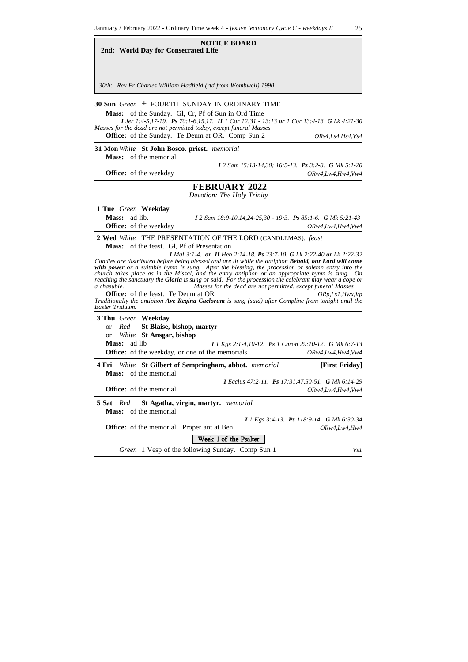| <b>NOTICE BOARD</b><br>2nd: World Day for Consecrated Life                                                                                                                                                                                                                                                                                                                                                                                                                                                                                                                                                                                                                                                                                                                                                                                                             |
|------------------------------------------------------------------------------------------------------------------------------------------------------------------------------------------------------------------------------------------------------------------------------------------------------------------------------------------------------------------------------------------------------------------------------------------------------------------------------------------------------------------------------------------------------------------------------------------------------------------------------------------------------------------------------------------------------------------------------------------------------------------------------------------------------------------------------------------------------------------------|
| 30th: Rev Fr Charles William Hadfield (rtd from Wombwell) 1990                                                                                                                                                                                                                                                                                                                                                                                                                                                                                                                                                                                                                                                                                                                                                                                                         |
| 30 Sun Green + FOURTH SUNDAY IN ORDINARY TIME<br>Mass: of the Sunday. Gl, Cr, Pf of Sun in Ord Time<br>I Jer 1:4-5,17-19. Ps 70:1-6,15,17. II 1 Cor 12:31 - 13:13 or 1 Cor 13:4-13 G Lk 4:21-30<br>Masses for the dead are not permitted today, except funeral Masses<br>Office: of the Sunday. Te Deum at OR. Comp Sun 2<br>ORs4, Ls4, Hs4, Vs4                                                                                                                                                                                                                                                                                                                                                                                                                                                                                                                       |
| 31 Mon White St John Bosco. priest. memorial<br><b>Mass:</b> of the memorial.                                                                                                                                                                                                                                                                                                                                                                                                                                                                                                                                                                                                                                                                                                                                                                                          |
| I 2 Sam 15:13-14,30; 16:5-13. Ps 3:2-8. G Mk 5:1-20<br><b>Office:</b> of the weekday<br>ORw4, Lw4, Hw4, Vw4                                                                                                                                                                                                                                                                                                                                                                                                                                                                                                                                                                                                                                                                                                                                                            |
| <b>FEBRUARY 2022</b><br>Devotion: The Holy Trinity                                                                                                                                                                                                                                                                                                                                                                                                                                                                                                                                                                                                                                                                                                                                                                                                                     |
| 1 Tue Green Weekday<br>Mass: ad lib.<br>I 2 Sam 18:9-10,14,24-25,30 - 19:3. Ps 85:1-6. G Mk 5:21-43<br><b>Office:</b> of the weekday<br>ORw4, Lw4, Hw4, Vw4                                                                                                                                                                                                                                                                                                                                                                                                                                                                                                                                                                                                                                                                                                            |
| <b>Mass:</b> of the feast. Gl, Pf of Presentation<br><b>I</b> Mal 3:1-4. or <b>II</b> Heb 2:14-18. <b>Ps</b> 23:7-10. <b>G</b> Lk 2:22-40 or Lk 2:22-32<br>Candles are distributed before being blessed and are lit while the antiphon Behold, our Lord will come<br>with power or a suitable hymn is sung. After the blessing, the procession or solemn entry into the<br>church takes place as in the Missal, and the entry antiphon or an appropriate hymn is sung. On<br>reaching the sanctuary the <b>Gloria</b> is sung or said. For the procession the celebrant may wear a cope or<br>Masses for the dead are not permitted, except funeral Masses<br>a chasuble.<br><b>Office:</b> of the feast. Te Deum at OR<br>ORp, Ls1, Hwx, Vp<br>Traditionally the antiphon Ave Regina Caelorum is sung (said) after Compline from tonight until the<br>Easter Triduum. |
| 3 Thu Green Weekday<br>St Blaise, bishop, martyr<br>Red<br>or<br>White St Ansgar, bishop<br><b>or</b><br><b>Mass:</b><br>ad lib<br>I 1 Kgs 2:1-4,10-12. Ps 1 Chron 29:10-12. G Mk 6:7-13<br><b>Office:</b> of the weekday, or one of the memorials<br>ORw4, Lw4, Hw4, Vw4                                                                                                                                                                                                                                                                                                                                                                                                                                                                                                                                                                                              |
| 4 Fri White St Gilbert of Sempringham, abbot. memorial<br>[First Friday]                                                                                                                                                                                                                                                                                                                                                                                                                                                                                                                                                                                                                                                                                                                                                                                               |
| <b>Mass:</b> of the memorial.<br>I Ecclus 47:2-11. Ps 17:31,47,50-51. G Mk 6:14-29<br>Office: of the memorial<br>ORw4,Lw4,Hw4,Vw4                                                                                                                                                                                                                                                                                                                                                                                                                                                                                                                                                                                                                                                                                                                                      |
| 5 Sat<br>Red<br>St Agatha, virgin, martyr. memorial<br>of the memorial.<br><b>Mass:</b><br>I 1 Kgs 3:4-13. Ps 118:9-14. G Mk 6:30-34<br><b>Office:</b> of the memorial. Proper ant at Ben<br><i>ORw4,Lw4,Hw4</i><br>Week 1 of the Psalter                                                                                                                                                                                                                                                                                                                                                                                                                                                                                                                                                                                                                              |
| Green 1 Vesp of the following Sunday. Comp Sun 1<br>Vs 1                                                                                                                                                                                                                                                                                                                                                                                                                                                                                                                                                                                                                                                                                                                                                                                                               |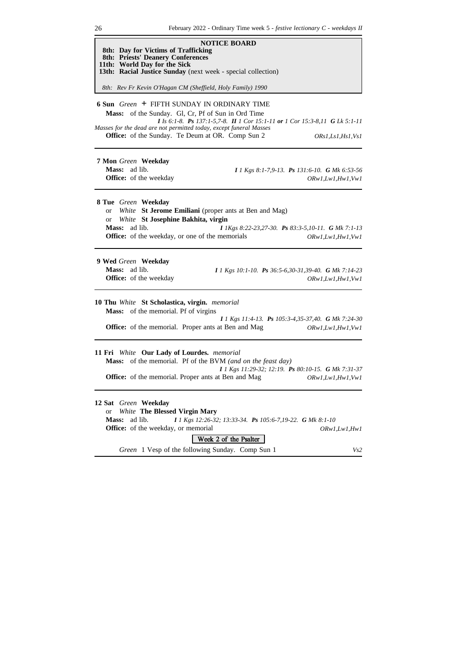| <b>NOTICE BOARD</b>                                                                                                                                                                                                                                              |                                                                      |
|------------------------------------------------------------------------------------------------------------------------------------------------------------------------------------------------------------------------------------------------------------------|----------------------------------------------------------------------|
| 8th: Day for Victims of Trafficking<br><b>8th: Priests' Deanery Conferences</b><br>11th: World Day for the Sick                                                                                                                                                  |                                                                      |
| 13th: Racial Justice Sunday (next week - special collection)                                                                                                                                                                                                     |                                                                      |
| 8th: Rev Fr Kevin O'Hagan CM (Sheffield, Holy Family) 1990                                                                                                                                                                                                       |                                                                      |
| 6 Sun Green + FIFTH SUNDAY IN ORDINARY TIME<br>of the Sunday. Gl, Cr, Pf of Sun in Ord Time<br><b>Mass:</b><br>I Is 6:1-8. Ps 137:1-5,7-8. II 1 Cor 15:1-11 or 1 Cor 15:3-8,11 G Lk 5:1-11<br>Masses for the dead are not permitted today, except funeral Masses |                                                                      |
| Office: of the Sunday. Te Deum at OR. Comp Sun 2                                                                                                                                                                                                                 | ORs1, Ls1, Hs1, Vs1                                                  |
| 7 Mon Green Weekday<br>Mass: ad lib.<br>Office: of the weekday                                                                                                                                                                                                   | I 1 Kgs 8:1-7,9-13. Ps 131:6-10. G Mk 6:53-56<br>ORw1, Lw1, Hw1, Vw1 |
| 8 Tue Green Weekday<br>White St Jerome Emiliani (proper ants at Ben and Mag)<br><b>or</b><br>or White St Josephine Bakhita, virgin<br>Mass: ad lib.<br>I 1Kgs 8:22-23,27-30. Ps 83:3-5,10-11. G Mk 7:1-13<br>Office: of the weekday, or one of the memorials     | ORw1, Lw1, Hw1, Vw1                                                  |
| 9 Wed Green Weekday<br>Mass: ad lib.<br>I 1 Kgs 10:1-10. Ps 36:5-6,30-31,39-40. G Mk 7:14-23<br>Office: of the weekday                                                                                                                                           | ORw1, Lw1, Hw1, Vw1                                                  |
| 10 Thu White St Scholastica, virgin. memorial<br><b>Mass:</b> of the memorial. Pf of virgins<br>I 1 Kgs 11:4-13. Ps 105:3-4,35-37,40. G Mk 7:24-30<br><b>Office:</b> of the memorial. Proper ants at Ben and Mag                                                 | ORw1, Lw1, Hw1, Vw1                                                  |
| 11 Fri White Our Lady of Lourdes. memorial<br>Mass: of the memorial. Pf of the BVM (and on the feast day)<br>I 1 Kgs 11:29-32; 12:19. Ps 80:10-15. G Mk 7:31-37<br><b>Office:</b> of the memorial. Proper ants at Ben and Mag                                    | ORw1, Lw1, Hw1, Vw1                                                  |
| 12 Sat Green Weekday<br><b>White The Blessed Virgin Mary</b><br><b>or</b><br>Mass:<br>ad lib.<br>I 1 Kgs 12:26-32; 13:33-34. Ps 105:6-7,19-22. G Mk 8:1-10<br><b>Office:</b> of the weekday, or memorial<br>Week 2 of the Psalter                                | ORw1, Lw1, Hw1                                                       |
| Green 1 Vesp of the following Sunday. Comp Sun 1                                                                                                                                                                                                                 | Vs2                                                                  |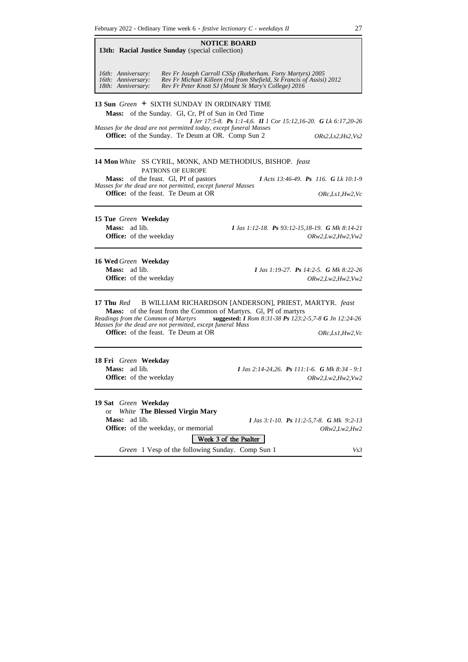**NOTICE BOARD 13th: Racial Justice Sunday** (special collection) *16th: Anniversary: Rev Fr Joseph Carroll CSSp (Rotherham. Forty Martyrs) 2005 16th: Anniversary: Rev Fr Michael Killeen (rtd from Shefield, St Francis of Assisi) 2012 18th: Anniversary: Rev Fr Peter Knott SJ (Mount St Mary's College) 2016* **13 Sun** *Green* **+** SIXTH SUNDAY IN ORDINARY TIME **Mass:** of the Sunday. Gl, Cr, Pf of Sun in Ord Time *I Jer 17:5-8. Ps 1:1-4,6. II 1 Cor 15:12,16-20. G Lk 6:17,20-26 Masses for the dead are not permitted today, except funeral Masses* **Office:** of the Sunday. Te Deum at OR. Comp Sun 2 *ORs2,Ls2,Hs2,Vs2* **14 Mon** *White* SS CYRIL, MONK, AND METHODIUS, BISHOP. *feast* PATRONS OF EUROPE **Mass:** of the feast. Gl, Pf of pastors *I Acts 13:46-49. Ps 116. G Lk 10:1-9 Masses for the dead are not permitted, except funeral Masses* **Office:** of the feast. Te Deum at OR *ORc,Ls1,Hw2,Vc* **15 Tue** *Green* **Weekday Mass:** ad lib. *I Jas 1:12-18. Ps 93:12-15,18-19. G Mk 8:14-21* **Office:** of the weekday *ORw2,Lw2,Hw2,Vw2* **16 Wed** *Green* **Weekday Mass:** ad lib. *I Jas 1:19-27. Ps 14:2-5. G Mk 8:22-26* **Office:** of the weekday *ORw2,Lw2,Hw2,Vw2* **17 Thu** *Red* B WILLIAM RICHARDSON [ANDERSON], PRIEST, MARTYR. *feast* **Mass:** of the feast from the Common of Martyrs. Gl, Pf of martyrs<br>Readings from the Common of Martyrs suggested: *I Rom 8:31-38 Ps* 123:2 *Readings from the Common of Martyrs* **suggested:** *I Rom 8:31-38 Ps 123:2-5,7-8 G Jn 12:24-26 Masses for the dead are not permitted, except funeral Mass* **Office:** of the feast. Te Deum at OR *ORc,Ls1,Hw2,Vc* **18 Fri** *Green* **Weekday Mass:** ad lib. *I Jas 2:14-24,26. Ps 111:1-6. G Mk 8:34 - 9:1* **Office:** of the weekday *ORw2,Lw2,Hw2,Vw2* **19 Sat** *Green* **Weekday** or *White* **The Blessed Virgin Mary Mass:** ad lib. *I Jas 3:1-10. Ps 11:2-5,7-8. G Mk 9:2-13* **Office:** of the weekday, or memorial *ORw2,Lw2,Hw2* Week 3 of the Psalter *Green* 1 Vesp of the following Sunday. Comp Sun 1 *Vs3*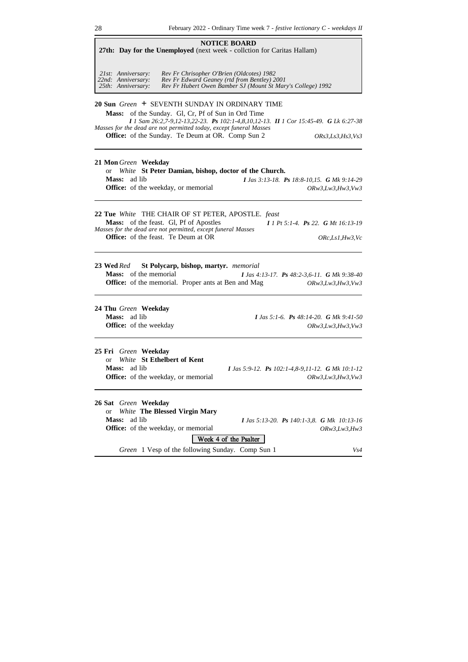| <b>NOTICE BOARD</b><br>27th: Day for the Unemployed (next week - collction for Caritas Hallam)                                                                                                             |                                                                                      |
|------------------------------------------------------------------------------------------------------------------------------------------------------------------------------------------------------------|--------------------------------------------------------------------------------------|
| Rev Fr Chrisopher O'Brien (Oldcotes) 1982<br>21st: Anniversary:<br>22nd: Anniversary:<br>Rev Fr Edward Geaney (rtd from Bentley) 2001<br>25th: Anniversary:                                                | Rev Fr Hubert Owen Bamber SJ (Mount St Mary's College) 1992                          |
| 20 Sun Green + SEVENTH SUNDAY IN ORDINARY TIME                                                                                                                                                             |                                                                                      |
| Mass: of the Sunday. Gl, Cr, Pf of Sun in Ord Time                                                                                                                                                         | I 1 Sam 26:2,7-9,12-13,22-23. Ps 102:1-4,8,10,12-13. II 1 Cor 15:45-49. G Lk 6:27-38 |
| Masses for the dead are not permitted today, except funeral Masses<br>Office: of the Sunday. Te Deum at OR. Comp Sun 2                                                                                     | <i>ORs3,Ls3,Hs3,Vs3</i>                                                              |
| 21 Mon Green Weekday<br>White St Peter Damian, bishop, doctor of the Church.<br><sub>or</sub>                                                                                                              |                                                                                      |
| <b>Mass:</b> ad lib                                                                                                                                                                                        | I Jas 3:13-18. Ps 18:8-10,15. G Mk 9:14-29                                           |
| <b>Office:</b> of the weekday, or memorial                                                                                                                                                                 | ORw3, Lw3, Hw3, Vw3                                                                  |
| 22 Tue White THE CHAIR OF ST PETER, APOSTLE. feast<br>Mass: of the feast. Gl, Pf of Apostles<br>Masses for the dead are not permitted, except funeral Masses<br><b>Office:</b> of the feast. Te Deum at OR | $I$ 1 Pt 5:1-4. Ps 22. G Mt 16:13-19<br>ORc, Ls1, Hw3, Vc                            |
| St Polycarp, bishop, martyr. memorial<br>23 Wed Red<br>Mass: of the memorial<br>Office: of the memorial. Proper ants at Ben and Mag                                                                        | I Jas 4:13-17. Ps 48:2-3,6-11. G Mk 9:38-40<br>ORw3, Lw3, Hw3, Vw3                   |
| 24 Thu Green Weekday                                                                                                                                                                                       |                                                                                      |
| Mass: ad lib<br><b>Office:</b> of the weekday                                                                                                                                                              | <b>I</b> Jas 5:1-6. <b>Ps</b> 48:14-20. <b>G</b> Mk 9:41-50<br>ORw3, Lw3, Hw3, Vw3   |
| 25 Fri Green Weekday<br>White St Ethelbert of Kent<br>$\alpha$<br>Mass: ad lib<br><b>Office:</b> of the weekday, or memorial                                                                               | I Jas 5:9-12. Ps $102:1-4,8-9,11-12$ . G Mk $10:1-12$<br>ORw3, Lw3, Hw3, Vw3         |
| 26 Sat Green Weekday<br><b>White The Blessed Virgin Mary</b><br><b>or</b><br>ad lib<br><b>Mass:</b><br><b>Office:</b> of the weekday, or memorial<br>Week 4 of the Psalter                                 | I Jas 5:13-20. Ps 140:1-3,8. G Mk 10:13-16<br>ORw3, Lw3, Hw3                         |
| Green 1 Vesp of the following Sunday. Comp Sun 1                                                                                                                                                           | Vs4                                                                                  |
|                                                                                                                                                                                                            |                                                                                      |